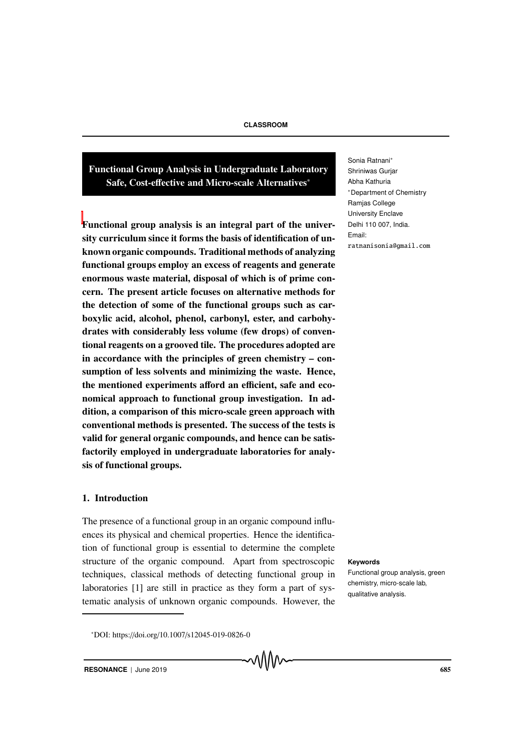Functional Group Analysis in Undergraduate Laboratory Safe, Cost-effective and Micro-scale Alternatives<sup>∗</sup>

Functional group analysis is an integral part of the university curriculum since it forms the basis of identification of unknown organic compounds. Traditional methods of analyzing functional groups employ an excess of reagents and generate enormous waste material, disposal of which is of prime concern. The present article focuses on alternative methods for the detection of some of the functional groups such as carboxylic acid, alcohol, phenol, carbonyl, ester, and carbohydrates with considerably less volume (few drops) of conventional reagents on a grooved tile. The procedures adopted are in accordance with the principles of green chemistry – consumption of less solvents and minimizing the waste. Hence, the mentioned experiments afford an efficient, safe and economical approach to functional group investigation. In addition, a comparison of this micro-scale green approach with conventional methods is presented. The success of the tests is valid for general organic compounds, and hence can be satisfactorily employed in undergraduate laboratories for analysis of functional groups.

#### 1. Introduction

The presence of a functional group in an organic compound influences its physical and chemical properties. Hence the identification of functional group is essential to determine the complete structure of the organic compound. Apart from spectroscopic Keywords techniques, classical methods of detecting functional group in laboratories [1] are still in practice as they form a part of systematic analysis of unknown organic compounds. However, the

Functional group analysis, green chemistry, micro-scale lab, qualitative analysis.

Sonia Ratnani<sup>∗</sup> Shriniwas Gurjar Abha Kathuria <sup>∗</sup>Department of Chemistry Ramjas College University Enclave Delhi 110 007, India. Email: ratnanisonia@gmail.com ratnanisonia@gmail.com

<sup>∗</sup>DOI: https://doi.org/10.1007/s12045-019-0826-0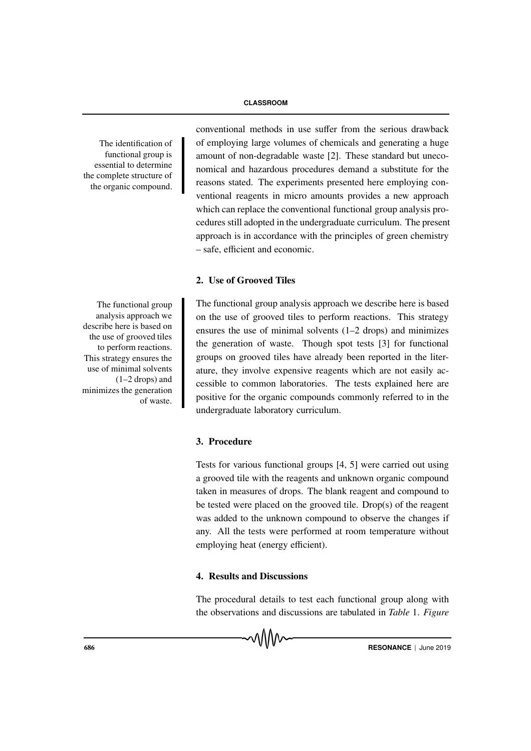functional group is essential to determine the complete structure of the organic compound.

The functional group analysis approach we describe here is based on the use of grooved tiles to perform reactions. This strategy ensures the use of minimal solvents (1–2 drops) and minimizes the generation of waste.

conventional methods in use suffer from the serious drawback The identification of of employing large volumes of chemicals and generating a huge amount of non-degradable waste [2]. These standard but uneconomical and hazardous procedures demand a substitute for the reasons stated. The experiments presented here employing conventional reagents in micro amounts provides a new approach which can replace the conventional functional group analysis procedures still adopted in the undergraduate curriculum. The present approach is in accordance with the principles of green chemistry – safe, efficient and economic.

# 2. Use of Grooved Tiles

The functional group analysis approach we describe here is based on the use of grooved tiles to perform reactions. This strategy ensures the use of minimal solvents (1–2 drops) and minimizes the generation of waste. Though spot tests [3] for functional groups on grooved tiles have already been reported in the literature, they involve expensive reagents which are not easily accessible to common laboratories. The tests explained here are positive for the organic compounds commonly referred to in the undergraduate laboratory curriculum.

### 3. Procedure

Tests for various functional groups [4, 5] were carried out using a grooved tile with the reagents and unknown organic compound taken in measures of drops. The blank reagent and compound to be tested were placed on the grooved tile. Drop(s) of the reagent was added to the unknown compound to observe the changes if any. All the tests were performed at room temperature without employing heat (energy efficient).

### 4. Results and Discussions

The procedural details to test each functional group along with the observations and discussions are tabulated in *Table* 1. *Figure*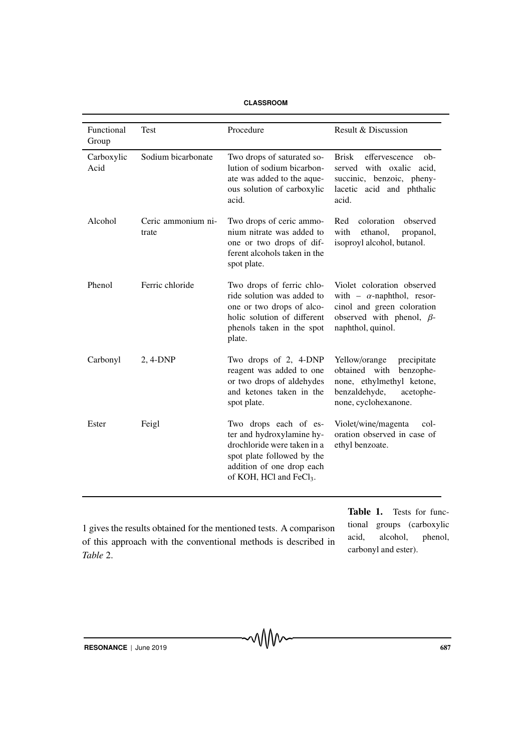| <b>CLASSROOM</b> |
|------------------|
|------------------|

| Functional<br>Group | <b>Test</b>                 | Procedure                                                                                                                                                                           | Result & Discussion                                                                                                                                   |
|---------------------|-----------------------------|-------------------------------------------------------------------------------------------------------------------------------------------------------------------------------------|-------------------------------------------------------------------------------------------------------------------------------------------------------|
| Carboxylic<br>Acid  | Sodium bicarbonate          | Two drops of saturated so-<br>lution of sodium bicarbon-<br>ate was added to the aque-<br>ous solution of carboxylic<br>acid.                                                       | <b>Brisk</b><br>effervescence<br>$ob-$<br>served with oxalic<br>acid,<br>succinic, benzoic, pheny-<br>lacetic acid and phthalic<br>acid.              |
| Alcohol             | Ceric ammonium ni-<br>trate | Two drops of ceric ammo-<br>nium nitrate was added to<br>one or two drops of dif-<br>ferent alcohols taken in the<br>spot plate.                                                    | coloration<br>Red<br>observed<br>with<br>ethanol,<br>propanol,<br>isoproyl alcohol, butanol.                                                          |
| Phenol              | Ferric chloride             | Two drops of ferric chlo-<br>ride solution was added to<br>one or two drops of alco-<br>holic solution of different<br>phenols taken in the spot<br>plate.                          | Violet coloration observed<br>with - $\alpha$ -naphthol, resor-<br>cinol and green coloration<br>observed with phenol, $\beta$ -<br>naphthol, quinol. |
| Carbonyl            | 2, 4-DNP                    | Two drops of 2, 4-DNP<br>reagent was added to one<br>or two drops of aldehydes<br>and ketones taken in the<br>spot plate.                                                           | Yellow/orange<br>precipitate<br>obtained with<br>benzophe-<br>none, ethylmethyl ketone,<br>benzaldehyde,<br>acetophe-<br>none, cyclohexanone.         |
| Ester               | Feigl                       | Two drops each of es-<br>ter and hydroxylamine hy-<br>drochloride were taken in a<br>spot plate followed by the<br>addition of one drop each<br>of KOH, HCl and FeCl <sub>3</sub> . | Violet/wine/magenta<br>col-<br>oration observed in case of<br>ethyl benzoate.                                                                         |

1 gives the results obtained for the mentioned tests. A comparison of this approach with the conventional methods is described in *Table* 2.

Table 1. Tests for functional groups (carboxylic acid, alcohol, phenol, carbonyl and ester).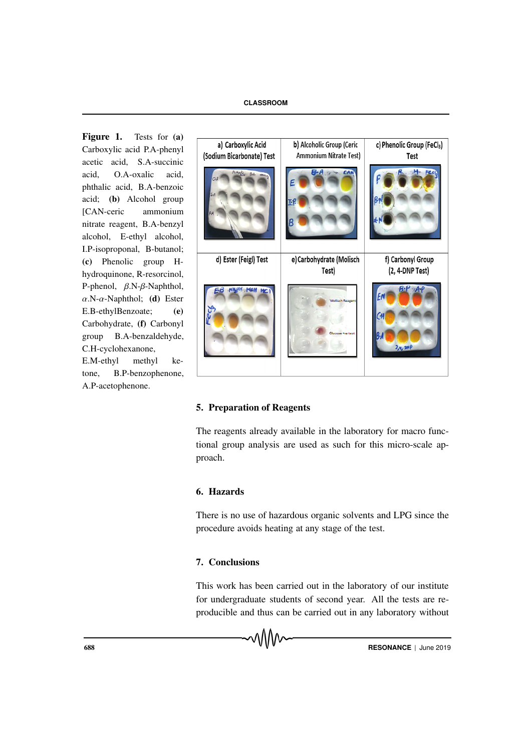Figure 1. Tests for (a) Carboxylic acid P.A-phenyl acetic acid, S.A-succinic acid  $\Omega$  A-oxalic acid phthalic acid, B.A-benzoic acid; (b) Alcohol group [CAN-ceric ammonium nitrate reagent, B.A-benzyl alcohol, E-ethyl alcohol, I.P-isoproponal, B-butanol; (c) Phenolic group Hhydroquinone, R-resorcinol, P-phenol, β.N-β-Naphthol,  $\alpha$ .N- $\alpha$ -Naphthol; (d) Ester E.B-ethylBenzoate; (e) Carbohydrate, (f) Carbonyl group B.A-benzaldehyde, C.H-cyclohexanone, E.M-ethyl methyl ke-

tone, B.P-benzophenone, A.P-acetophenone.



## 5. Preparation of Reagents

The reagents already available in the laboratory for macro functional group analysis are used as such for this micro-scale approach.

## 6. Hazards

There is no use of hazardous organic solvents and LPG since the procedure avoids heating at any stage of the test.

## 7. Conclusions

This work has been carried out in the laboratory of our institute for undergraduate students of second year. All the tests are reproducible and thus can be carried out in any laboratory without